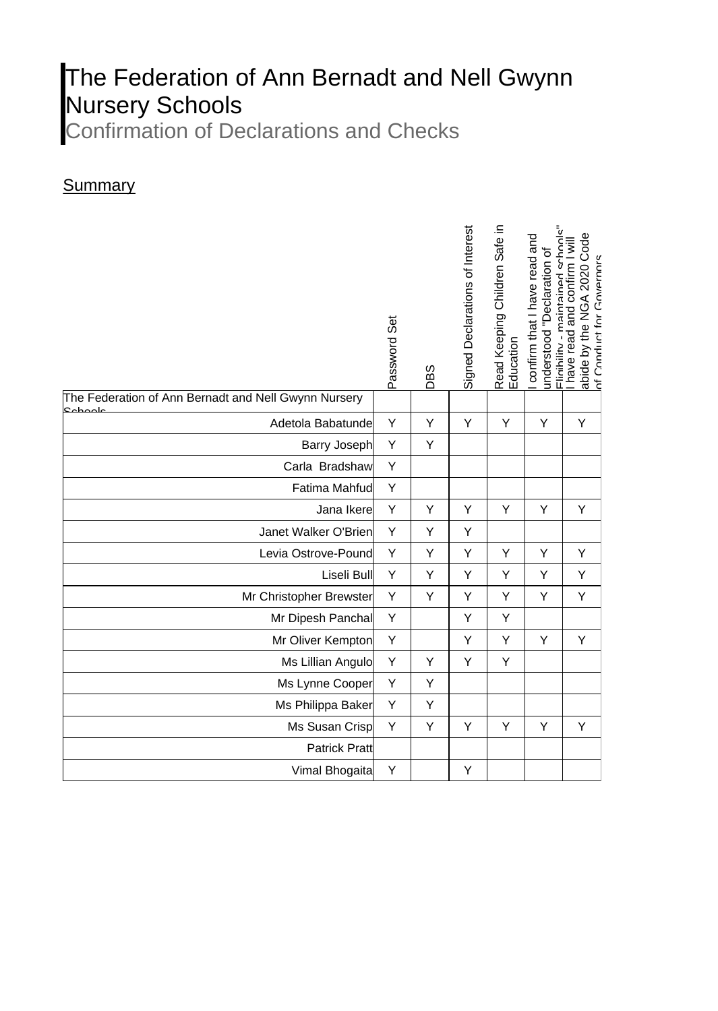## The Federation of Ann Bernadt and Nell Gwynn Nursery Schools

Confirmation of Declarations and Checks

## **Summary**

|                                                                 | Password Set | 6S<br>∩ | Signed Declarations of Interest | Read Keeping Children Safe in<br>Education | -linihility - maintained schools<br>confirm that I have read and<br>understood "Declaration of | Code<br>have read and confirm I will<br>of Conduct for Governors<br>abide by the NGA 2020 |
|-----------------------------------------------------------------|--------------|---------|---------------------------------|--------------------------------------------|------------------------------------------------------------------------------------------------|-------------------------------------------------------------------------------------------|
| The Federation of Ann Bernadt and Nell Gwynn Nursery<br>علممطمع |              |         |                                 |                                            |                                                                                                |                                                                                           |
| Adetola Babatunde                                               | Υ            | Υ       | Υ                               | Y                                          | Υ                                                                                              | Υ                                                                                         |
| <b>Barry Joseph</b>                                             | Υ            | Υ       |                                 |                                            |                                                                                                |                                                                                           |
| Carla Bradshaw                                                  | Y            |         |                                 |                                            |                                                                                                |                                                                                           |
| Fatima Mahfud                                                   | Υ            |         |                                 |                                            |                                                                                                |                                                                                           |
| Jana Ikere                                                      | Y            | Y       | Υ                               | Y                                          | Υ                                                                                              | Υ                                                                                         |
| Janet Walker O'Brien                                            | Υ            | Υ       | Υ                               |                                            |                                                                                                |                                                                                           |
| Levia Ostrove-Pound                                             | Y            | Υ       | Υ                               | Y                                          | Y                                                                                              | Y                                                                                         |
| Liseli Bull                                                     | Υ            | Υ       | Υ                               | Y                                          | Υ                                                                                              | Υ                                                                                         |
| Mr Christopher Brewster                                         | Υ            | Υ       | Υ                               | Υ                                          | Υ                                                                                              | Υ                                                                                         |
| Mr Dipesh Panchal                                               | Υ            |         | Υ                               | Υ                                          |                                                                                                |                                                                                           |
| Mr Oliver Kempton                                               | Υ            |         | Υ                               | Υ                                          | Υ                                                                                              | Υ                                                                                         |
| Ms Lillian Angulo                                               | Υ            | Υ       | Υ                               | Y                                          |                                                                                                |                                                                                           |
| Ms Lynne Cooper                                                 | Υ            | Υ       |                                 |                                            |                                                                                                |                                                                                           |
| Ms Philippa Baker                                               | Υ            | Υ       |                                 |                                            |                                                                                                |                                                                                           |
| Ms Susan Crisp                                                  | Υ            | Υ       | Υ                               | Υ                                          | Υ                                                                                              | Υ                                                                                         |
| <b>Patrick Pratt</b>                                            |              |         |                                 |                                            |                                                                                                |                                                                                           |
| Vimal Bhogaita                                                  | Υ            |         | Υ                               |                                            |                                                                                                |                                                                                           |
|                                                                 |              |         |                                 |                                            |                                                                                                |                                                                                           |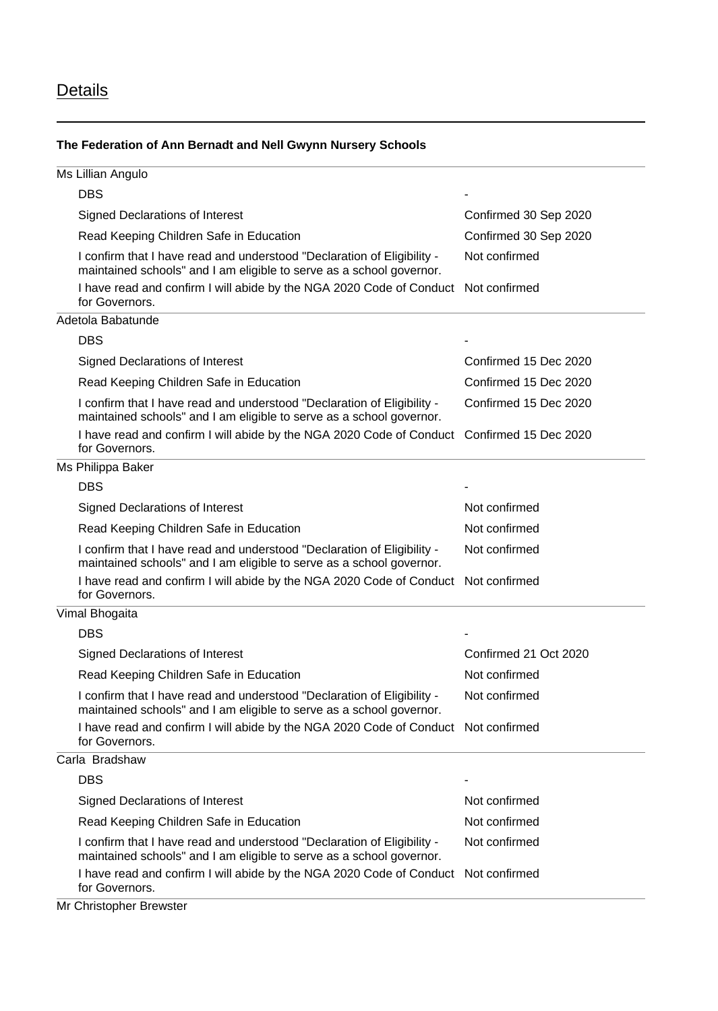## **Details**

## **The Federation of Ann Bernadt and Nell Gwynn Nursery Schools**

| Ms Lillian Angulo                                                                                                                               |                       |  |
|-------------------------------------------------------------------------------------------------------------------------------------------------|-----------------------|--|
| <b>DBS</b>                                                                                                                                      |                       |  |
| <b>Signed Declarations of Interest</b>                                                                                                          | Confirmed 30 Sep 2020 |  |
| Read Keeping Children Safe in Education                                                                                                         | Confirmed 30 Sep 2020 |  |
| I confirm that I have read and understood "Declaration of Eligibility -<br>maintained schools" and I am eligible to serve as a school governor. | Not confirmed         |  |
| I have read and confirm I will abide by the NGA 2020 Code of Conduct Not confirmed<br>for Governors.                                            |                       |  |
| Adetola Babatunde                                                                                                                               |                       |  |
| <b>DBS</b>                                                                                                                                      |                       |  |
| <b>Signed Declarations of Interest</b>                                                                                                          | Confirmed 15 Dec 2020 |  |
| Read Keeping Children Safe in Education                                                                                                         | Confirmed 15 Dec 2020 |  |
| I confirm that I have read and understood "Declaration of Eligibility -<br>maintained schools" and I am eligible to serve as a school governor. | Confirmed 15 Dec 2020 |  |
| I have read and confirm I will abide by the NGA 2020 Code of Conduct<br>for Governors.                                                          | Confirmed 15 Dec 2020 |  |
| Ms Philippa Baker                                                                                                                               |                       |  |
| <b>DBS</b>                                                                                                                                      |                       |  |
| <b>Signed Declarations of Interest</b>                                                                                                          | Not confirmed         |  |
| Read Keeping Children Safe in Education                                                                                                         | Not confirmed         |  |
| I confirm that I have read and understood "Declaration of Eligibility -<br>maintained schools" and I am eligible to serve as a school governor. | Not confirmed         |  |
| I have read and confirm I will abide by the NGA 2020 Code of Conduct Not confirmed<br>for Governors.                                            |                       |  |
| Vimal Bhogaita                                                                                                                                  |                       |  |
| <b>DBS</b>                                                                                                                                      |                       |  |
| Signed Declarations of Interest                                                                                                                 | Confirmed 21 Oct 2020 |  |
| Read Keeping Children Safe in Education                                                                                                         | Not confirmed         |  |
| I confirm that I have read and understood "Declaration of Eligibility -<br>maintained schools" and I am eligible to serve as a school governor. | Not confirmed         |  |
| I have read and confirm I will abide by the NGA 2020 Code of Conduct Not confirmed<br>for Governors.                                            |                       |  |
| Carla Bradshaw                                                                                                                                  |                       |  |
| <b>DBS</b>                                                                                                                                      |                       |  |
| <b>Signed Declarations of Interest</b>                                                                                                          | Not confirmed         |  |
| Read Keeping Children Safe in Education                                                                                                         | Not confirmed         |  |
| I confirm that I have read and understood "Declaration of Eligibility -<br>maintained schools" and I am eligible to serve as a school governor. | Not confirmed         |  |
| I have read and confirm I will abide by the NGA 2020 Code of Conduct Not confirmed<br>for Governors.                                            |                       |  |
|                                                                                                                                                 |                       |  |

Mr Christopher Brewster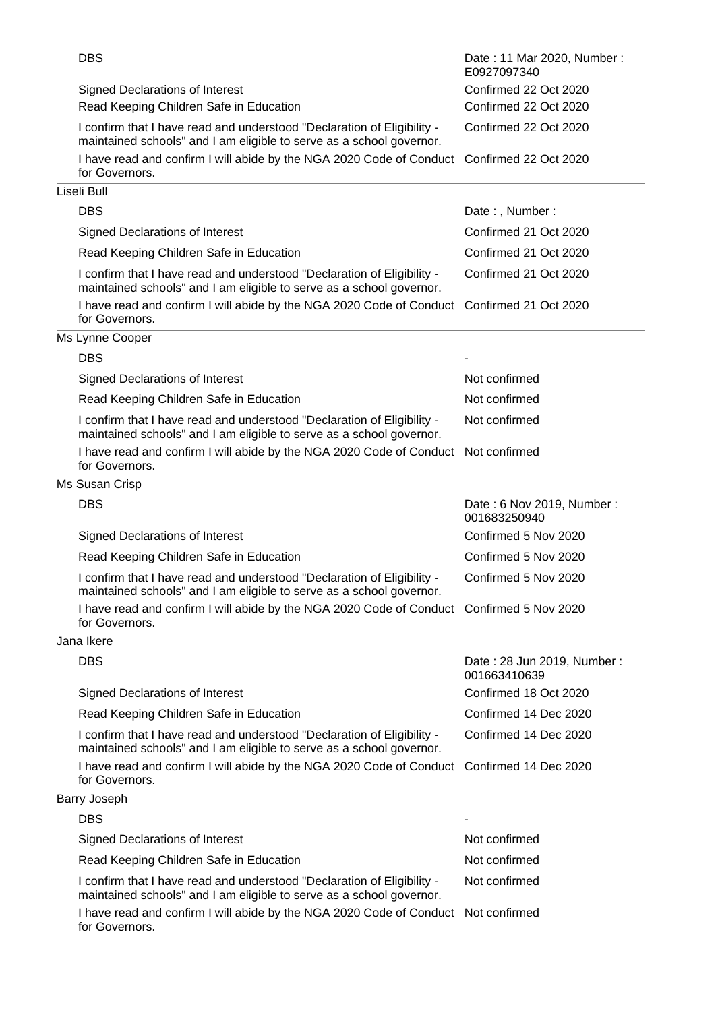| <b>DBS</b>                                                                                                                                      | Date: 11 Mar 2020, Number:<br>E0927097340  |  |
|-------------------------------------------------------------------------------------------------------------------------------------------------|--------------------------------------------|--|
| <b>Signed Declarations of Interest</b>                                                                                                          | Confirmed 22 Oct 2020                      |  |
| Read Keeping Children Safe in Education                                                                                                         | Confirmed 22 Oct 2020                      |  |
| I confirm that I have read and understood "Declaration of Eligibility -<br>maintained schools" and I am eligible to serve as a school governor. | Confirmed 22 Oct 2020                      |  |
| I have read and confirm I will abide by the NGA 2020 Code of Conduct Confirmed 22 Oct 2020<br>for Governors.                                    |                                            |  |
| Liseli Bull                                                                                                                                     |                                            |  |
| <b>DBS</b>                                                                                                                                      | Date:, Number:                             |  |
| Signed Declarations of Interest                                                                                                                 | Confirmed 21 Oct 2020                      |  |
| Read Keeping Children Safe in Education                                                                                                         | Confirmed 21 Oct 2020                      |  |
| I confirm that I have read and understood "Declaration of Eligibility -<br>maintained schools" and I am eligible to serve as a school governor. | Confirmed 21 Oct 2020                      |  |
| I have read and confirm I will abide by the NGA 2020 Code of Conduct Confirmed 21 Oct 2020<br>for Governors.                                    |                                            |  |
| Ms Lynne Cooper                                                                                                                                 |                                            |  |
| <b>DBS</b>                                                                                                                                      |                                            |  |
| Signed Declarations of Interest                                                                                                                 | Not confirmed                              |  |
| Read Keeping Children Safe in Education                                                                                                         | Not confirmed                              |  |
| I confirm that I have read and understood "Declaration of Eligibility -<br>maintained schools" and I am eligible to serve as a school governor. | Not confirmed                              |  |
| I have read and confirm I will abide by the NGA 2020 Code of Conduct Not confirmed<br>for Governors.                                            |                                            |  |
| Ms Susan Crisp                                                                                                                                  |                                            |  |
| <b>DBS</b>                                                                                                                                      | Date: 6 Nov 2019, Number:<br>001683250940  |  |
| <b>Signed Declarations of Interest</b>                                                                                                          | Confirmed 5 Nov 2020                       |  |
| Read Keeping Children Safe in Education                                                                                                         | Confirmed 5 Nov 2020                       |  |
| I confirm that I have read and understood "Declaration of Eligibility -<br>maintained schools" and I am eligible to serve as a school governor. | Confirmed 5 Nov 2020                       |  |
| I have read and confirm I will abide by the NGA 2020 Code of Conduct Confirmed 5 Nov 2020<br>for Governors.                                     |                                            |  |
| Jana Ikere                                                                                                                                      |                                            |  |
| <b>DBS</b>                                                                                                                                      | Date: 28 Jun 2019, Number:<br>001663410639 |  |
| Signed Declarations of Interest                                                                                                                 | Confirmed 18 Oct 2020                      |  |
| Read Keeping Children Safe in Education                                                                                                         | Confirmed 14 Dec 2020                      |  |
| I confirm that I have read and understood "Declaration of Eligibility -<br>maintained schools" and I am eligible to serve as a school governor. | Confirmed 14 Dec 2020                      |  |
| I have read and confirm I will abide by the NGA 2020 Code of Conduct Confirmed 14 Dec 2020<br>for Governors.                                    |                                            |  |
| Barry Joseph                                                                                                                                    |                                            |  |
| <b>DBS</b>                                                                                                                                      |                                            |  |
| Signed Declarations of Interest                                                                                                                 | Not confirmed                              |  |
| Read Keeping Children Safe in Education                                                                                                         | Not confirmed                              |  |
| I confirm that I have read and understood "Declaration of Eligibility -<br>maintained schools" and I am eligible to serve as a school governor. | Not confirmed                              |  |
| I have read and confirm I will abide by the NGA 2020 Code of Conduct Not confirmed<br>for Governors.                                            |                                            |  |